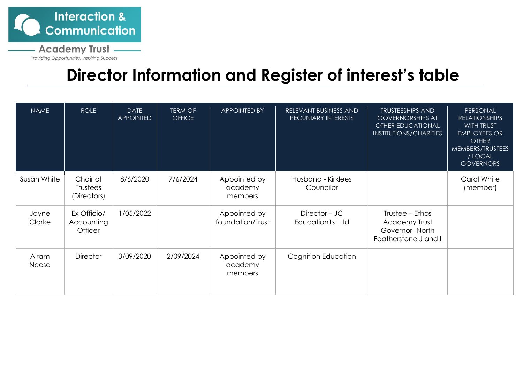

**Academy Trust -**

Providing Opportunities, Inspiring Success

## **Director Information and Register of interest's table**

| <b>NAME</b>     | <b>ROLE</b>                                 | <b>DATE</b><br><b>APPOINTED</b> | <b>TERM OF</b><br><b>OFFICE</b> | <b>APPOINTED BY</b>                | RELEVANT BUSINESS AND<br>PECUNIARY INTERESTS | <b>TRUSTEESHIPS AND</b><br><b>GOVERNORSHIPS AT</b><br><b>OTHER EDUCATIONAL</b><br><b>INSTITUTIONS/CHARITIES</b> | PERSONAL<br><b>RELATIONSHIPS</b><br><b>WITH TRUST</b><br><b>EMPLOYEES OR</b><br><b>OTHER</b><br>MEMBERS/TRUSTEES<br>/ LOCAL<br><b>GOVERNORS</b> |
|-----------------|---------------------------------------------|---------------------------------|---------------------------------|------------------------------------|----------------------------------------------|-----------------------------------------------------------------------------------------------------------------|-------------------------------------------------------------------------------------------------------------------------------------------------|
| Susan White     | Chair of<br>Trustees<br>(Directors)         | 8/6/2020                        | 7/6/2024                        | Appointed by<br>academy<br>members | Husband - Kirklees<br>Councilor              |                                                                                                                 | Carol White<br>(member)                                                                                                                         |
| Jayne<br>Clarke | Ex Officio/<br>Accounting<br><b>Officer</b> | 1/05/2022                       |                                 | Appointed by<br>foundation/Trust   | Director – JC<br><b>Education1st Ltd</b>     | Trustee – Ethos<br>Academy Trust<br>Governor-North<br>Featherstone J and I                                      |                                                                                                                                                 |
| Airam<br>Neesa  | <b>Director</b>                             | 3/09/2020                       | 2/09/2024                       | Appointed by<br>academy<br>members | Cognition Education                          |                                                                                                                 |                                                                                                                                                 |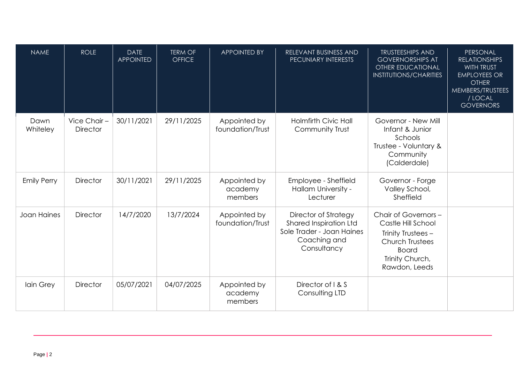| <b>NAME</b>        | <b>ROLE</b>                    | <b>DATE</b><br><b>APPOINTED</b> | <b>TERM OF</b><br><b>OFFICE</b> | <b>APPOINTED BY</b>                | RELEVANT BUSINESS AND<br>PECUNIARY INTERESTS                                                                      | <b>TRUSTEESHIPS AND</b><br><b>GOVERNORSHIPS AT</b><br><b>OTHER EDUCATIONAL</b><br><b>INSTITUTIONS/CHARITIES</b>                                | PERSONAL<br><b>RELATIONSHIPS</b><br><b>WITH TRUST</b><br><b>EMPLOYEES OR</b><br><b>OTHER</b><br>MEMBERS/TRUSTEES<br>/ LOCAL<br><b>GOVERNORS</b> |
|--------------------|--------------------------------|---------------------------------|---------------------------------|------------------------------------|-------------------------------------------------------------------------------------------------------------------|------------------------------------------------------------------------------------------------------------------------------------------------|-------------------------------------------------------------------------------------------------------------------------------------------------|
| Dawn<br>Whiteley   | Vice Chair-<br><b>Director</b> | 30/11/2021                      | 29/11/2025                      | Appointed by<br>foundation/Trust   | <b>Holmfirth Civic Hall</b><br>Community Trust                                                                    | Governor - New Mill<br>Infant & Junior<br>Schools<br>Trustee - Voluntary &<br>Community<br>(Calderdale)                                        |                                                                                                                                                 |
| <b>Emily Perry</b> | <b>Director</b>                | 30/11/2021                      | 29/11/2025                      | Appointed by<br>academy<br>members | Employee - Sheffield<br>Hallam University -<br>Lecturer                                                           | Governor - Forge<br>Valley School,<br>Sheffield                                                                                                |                                                                                                                                                 |
| Joan Haines        | <b>Director</b>                | 14/7/2020                       | 13/7/2024                       | Appointed by<br>foundation/Trust   | <b>Director of Strategy</b><br>Shared Inspiration Ltd<br>Sole Trader - Joan Haines<br>Coaching and<br>Consultancy | Chair of Governors -<br>Castle Hill School<br>Trinity Trustees -<br><b>Church Trustees</b><br><b>Board</b><br>Trinity Church,<br>Rawdon, Leeds |                                                                                                                                                 |
| Iain Grey          | <b>Director</b>                | 05/07/2021                      | 04/07/2025                      | Appointed by<br>academy<br>members | Director of I & S<br>Consulting LTD                                                                               |                                                                                                                                                |                                                                                                                                                 |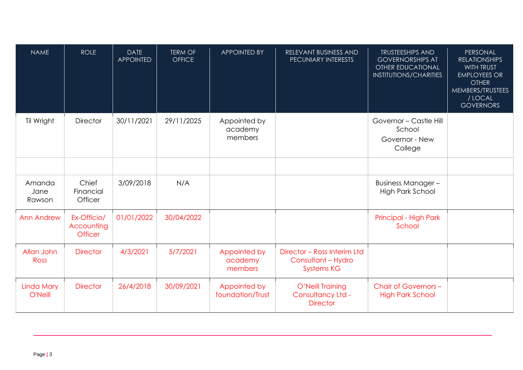| <b>NAME</b>              | <b>ROLE</b>                                 | <b>DATE</b><br><b>APPOINTED</b> | <b>TERM OF</b><br><b>OFFICE</b> | <b>APPOINTED BY</b>                | RELEVANT BUSINESS AND<br><b>PECUNIARY INTERESTS</b>                    | <b>TRUSTEESHIPS AND</b><br><b>GOVERNORSHIPS AT</b><br><b>OTHER EDUCATIONAL</b><br><b>INSTITUTIONS/CHARITIES</b> | PERSONAL<br><b>RELATIONSHIPS</b><br>WITH TRUST<br><b>EMPLOYEES OR</b><br><b>OTHER</b><br>MEMBERS/TRUSTEES<br>/ LOCAL<br><b>GOVERNORS</b> |
|--------------------------|---------------------------------------------|---------------------------------|---------------------------------|------------------------------------|------------------------------------------------------------------------|-----------------------------------------------------------------------------------------------------------------|------------------------------------------------------------------------------------------------------------------------------------------|
| Til Wright               | <b>Director</b>                             | 30/11/2021                      | 29/11/2025                      | Appointed by<br>academy<br>members |                                                                        | Governor - Castle Hill<br>School<br>Governor - New<br>College                                                   |                                                                                                                                          |
|                          |                                             |                                 |                                 |                                    |                                                                        |                                                                                                                 |                                                                                                                                          |
| Amanda<br>Jane<br>Rawson | Chief<br>Financial<br>Officer               | 3/09/2018                       | N/A                             |                                    |                                                                        | <b>Business Manager -</b><br><b>High Park School</b>                                                            |                                                                                                                                          |
| <b>Ann Andrew</b>        | Ex-Officio/<br>Accounting<br><b>Officer</b> | 01/01/2022                      | 30/04/2022                      |                                    |                                                                        | Principal - High Park<br>School                                                                                 |                                                                                                                                          |
| Allan John<br>Ross       | <b>Director</b>                             | 4/3/2021                        | 5/7/2021                        | Appointed by<br>academy<br>members | Director - Ross Interim Ltd<br>Consultant - Hydro<br><b>Systems KG</b> |                                                                                                                 |                                                                                                                                          |
| Linda Mary<br>O'Neill    | <b>Director</b>                             | 26/4/2018                       | 30/09/2021                      | Appointed by<br>foundation/Trust   | O'Neill Training<br>Consultancy Ltd -<br><b>Director</b>               | Chair of Governors -<br><b>High Park School</b>                                                                 |                                                                                                                                          |